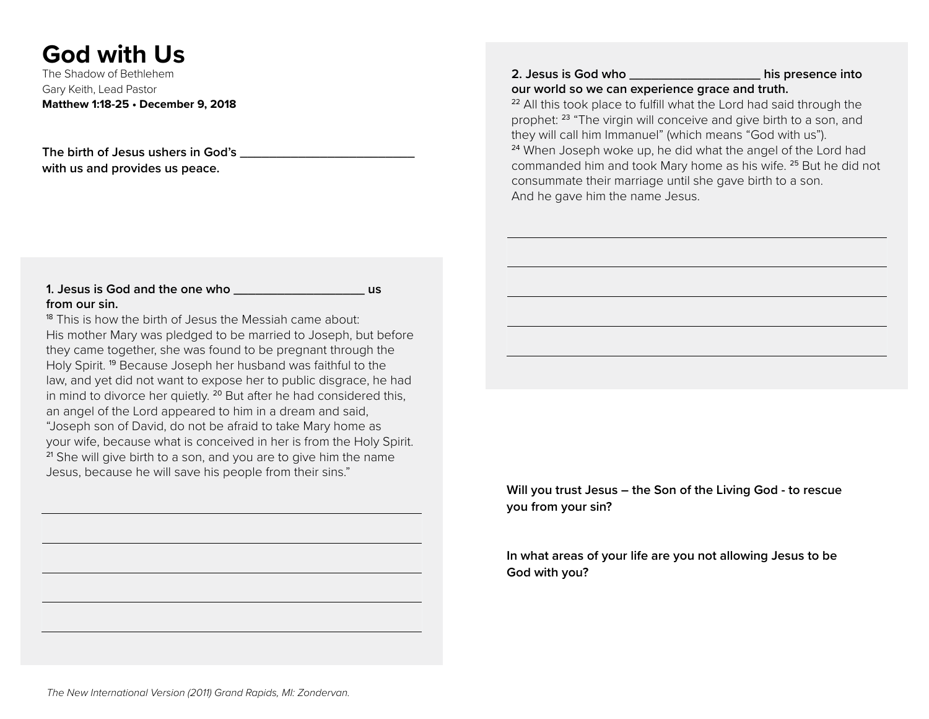# **God with Us**

The Shadow of Bethlehem Gary Keith, Lead Pastor **Matthew 1:18-25 • December 9, 2018**

**The birth of Jesus ushers in God's \_\_\_\_\_\_\_\_\_\_\_\_\_\_\_\_\_\_\_\_\_\_\_\_ with us and provides us peace.**

### **1. Jesus is God and the one who \_\_\_\_\_\_\_\_\_\_\_\_\_\_\_\_\_\_ us from our sin.**

<sup>18</sup> This is how the birth of Jesus the Messiah came about: His mother Mary was pledged to be married to Joseph, but before they came together, she was found to be pregnant through the Holy Spirit. <sup>19</sup> Because Joseph her husband was faithful to the law, and yet did not want to expose her to public disgrace, he had in mind to divorce her quietly.  $20$  But after he had considered this, an angel of the Lord appeared to him in a dream and said, "Joseph son of David, do not be afraid to take Mary home as your wife, because what is conceived in her is from the Holy Spirit. <sup>21</sup> She will give birth to a son, and you are to give him the name Jesus, because he will save his people from their sins."

#### **2. Jesus is God who \_\_\_\_\_\_\_\_\_\_\_\_\_\_\_\_\_\_ his presence into our world so we can experience grace and truth.**

<sup>22</sup> All this took place to fulfill what the Lord had said through the prophet: <sup>23</sup> "The virgin will conceive and give birth to a son, and they will call him Immanuel" (which means "God with us"). <sup>24</sup> When Joseph woke up, he did what the angel of the Lord had commanded him and took Mary home as his wife. <sup>25</sup> But he did not consummate their marriage until she gave birth to a son. And he gave him the name Jesus.

**Will you trust Jesus – the Son of the Living God - to rescue you from your sin?**

**In what areas of your life are you not allowing Jesus to be God with you?**